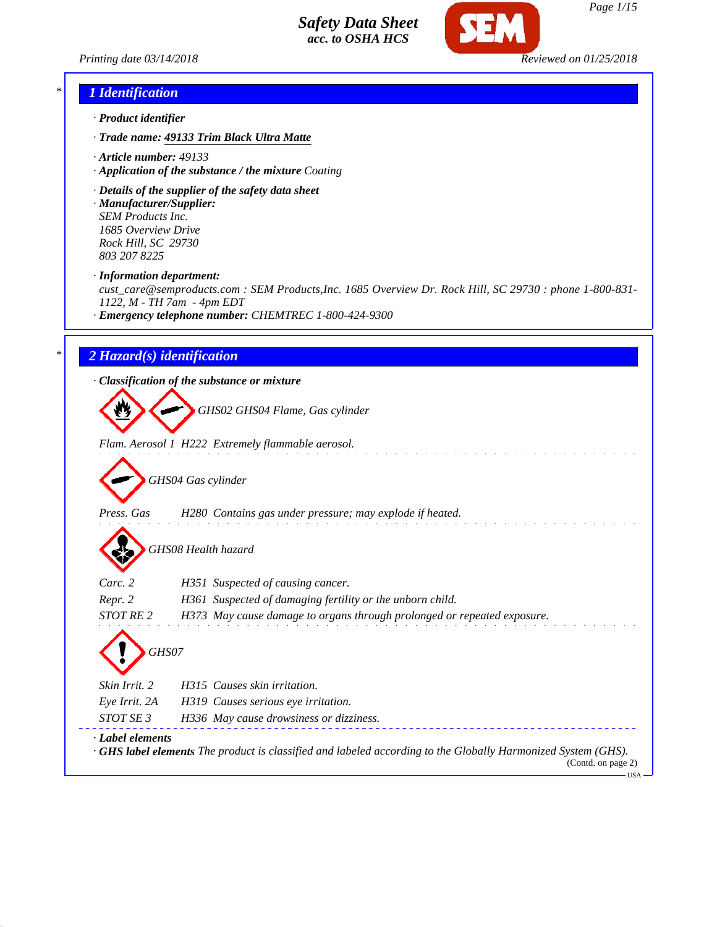



## *\* 1 Identification*

- *· Product identifier*
- *· Trade name: 49133 Trim Black Ultra Matte*
- *· Article number: 49133*
- *· Application of the substance / the mixture Coating*
- *· Details of the supplier of the safety data sheet*
- *· Manufacturer/Supplier: SEM Products Inc. 1685 Overview Drive Rock Hill, SC 29730 803 207 8225*

*· Information department:*

*cust\_care@semproducts.com : SEM Products,Inc. 1685 Overview Dr. Rock Hill, SC 29730 : phone 1-800-831- 1122, M - TH 7am - 4pm EDT*

*· Emergency telephone number: CHEMTREC 1-800-424-9300*

### *\* 2 Hazard(s) identification*

*· Classification of the substance or mixture*

*GHS02 GHS04 Flame, Gas cylinder*

*Flam. Aerosol 1 H222 Extremely flammable aerosol.*

*GHS04 Gas cylinder*

*Press. Gas H280 Contains gas under pressure; may explode if heated.*

*GHS08 Health hazard*

| $\mathbf{v}$                  |                                                                                                                                           |
|-------------------------------|-------------------------------------------------------------------------------------------------------------------------------------------|
| Carc. 2                       | H351 Suspected of causing cancer.                                                                                                         |
| Repr. 2                       | H361 Suspected of damaging fertility or the unborn child.                                                                                 |
| <b>STOT RE2</b>               | H373 May cause damage to organs through prolonged or repeated exposure.                                                                   |
| GHS07<br><i>Skin Irrit.</i> 2 | H315 Causes skin irritation.                                                                                                              |
| Eye Irrit. 2A                 | H319 Causes serious eye irritation.                                                                                                       |
| STOT SE 3                     | H336 May cause drowsiness or dizziness.                                                                                                   |
| · Label elements              | $\cdot$ GHS label elements The product is classified and labeled according to the Globally Harmonized System (GHS).<br>(Contd. on page 2) |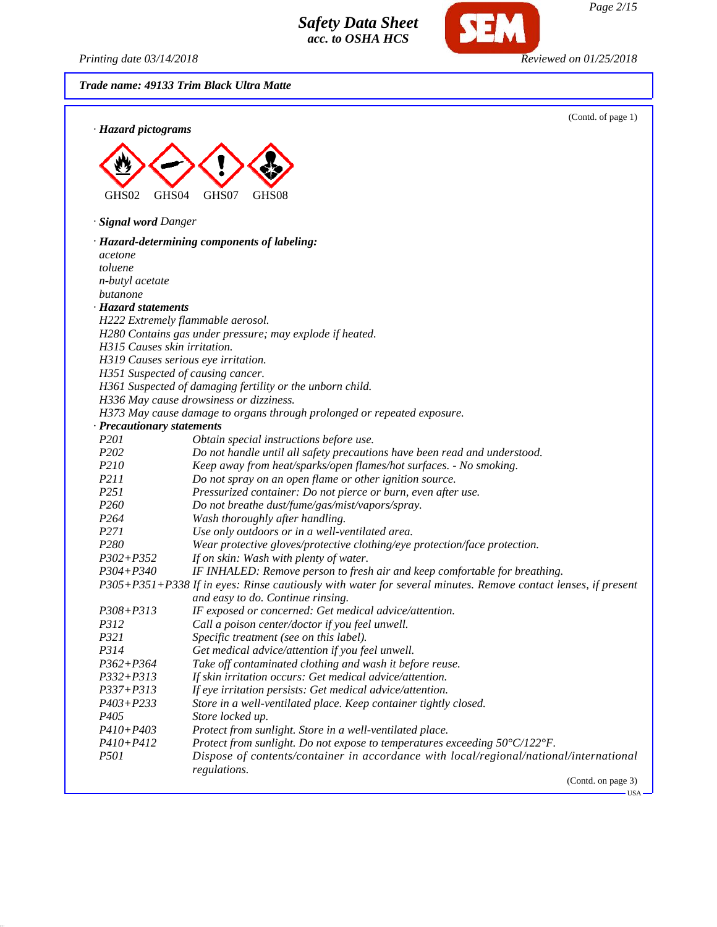*Printing date 03/14/2018 Reviewed on 01/25/2018*

**SEM** 

*Trade name: 49133 Trim Black Ultra Matte*

| · Hazard pictograms                 | (Contd. of page 1)                                                                                            |
|-------------------------------------|---------------------------------------------------------------------------------------------------------------|
|                                     |                                                                                                               |
|                                     |                                                                                                               |
|                                     |                                                                                                               |
| GHS02<br>GHS <sub>04</sub>          | GHS07<br>GHS08                                                                                                |
|                                     |                                                                                                               |
| · Signal word Danger                |                                                                                                               |
|                                     | · Hazard-determining components of labeling:                                                                  |
| acetone                             |                                                                                                               |
| toluene                             |                                                                                                               |
| n-butyl acetate                     |                                                                                                               |
| butanone                            |                                                                                                               |
| · Hazard statements                 |                                                                                                               |
|                                     | H222 Extremely flammable aerosol.                                                                             |
| H315 Causes skin irritation.        | H280 Contains gas under pressure; may explode if heated.                                                      |
| H319 Causes serious eye irritation. |                                                                                                               |
| H351 Suspected of causing cancer.   |                                                                                                               |
|                                     | H361 Suspected of damaging fertility or the unborn child.                                                     |
|                                     | H336 May cause drowsiness or dizziness.                                                                       |
|                                     | H373 May cause damage to organs through prolonged or repeated exposure.                                       |
| · Precautionary statements          |                                                                                                               |
| P <sub>201</sub>                    | Obtain special instructions before use.                                                                       |
| P202                                | Do not handle until all safety precautions have been read and understood.                                     |
| P210                                | Keep away from heat/sparks/open flames/hot surfaces. - No smoking.                                            |
| P211                                | Do not spray on an open flame or other ignition source.                                                       |
| P <sub>251</sub>                    | Pressurized container: Do not pierce or burn, even after use.                                                 |
| P <sub>260</sub>                    | Do not breathe dust/fume/gas/mist/vapors/spray.                                                               |
| P <sub>264</sub>                    | Wash thoroughly after handling.                                                                               |
| P271                                | Use only outdoors or in a well-ventilated area.                                                               |
| P280                                | Wear protective gloves/protective clothing/eye protection/face protection.                                    |
| $P302 + P352$                       | If on skin: Wash with plenty of water.                                                                        |
| $P304 + P340$                       | IF INHALED: Remove person to fresh air and keep comfortable for breathing.                                    |
|                                     | P305+P351+P338 If in eyes: Rinse cautiously with water for several minutes. Remove contact lenses, if present |
|                                     | and easy to do. Continue rinsing.                                                                             |
| $P308 + P313$                       | IF exposed or concerned: Get medical advice/attention.                                                        |
| <i>P312</i><br>P321                 | Call a poison center/doctor if you feel unwell.<br>Specific treatment (see on this label).                    |
| P314                                | Get medical advice/attention if you feel unwell.                                                              |
| $P362 + P364$                       | Take off contaminated clothing and wash it before reuse.                                                      |
| $P332 + P313$                       | If skin irritation occurs: Get medical advice/attention.                                                      |
| $P337 + P313$                       | If eye irritation persists: Get medical advice/attention.                                                     |
| $P403 + P233$                       | Store in a well-ventilated place. Keep container tightly closed.                                              |
| P <sub>405</sub>                    | Store locked up.                                                                                              |
| $P410 + P403$                       | Protect from sunlight. Store in a well-ventilated place.                                                      |
| $P410 + P412$                       | Protect from sunlight. Do not expose to temperatures exceeding 50°C/122°F.                                    |
| <i>P501</i>                         | Dispose of contents/container in accordance with local/regional/national/international                        |
|                                     | regulations.                                                                                                  |
|                                     | (Contd. on page 3)                                                                                            |

 $-$ USA  $-$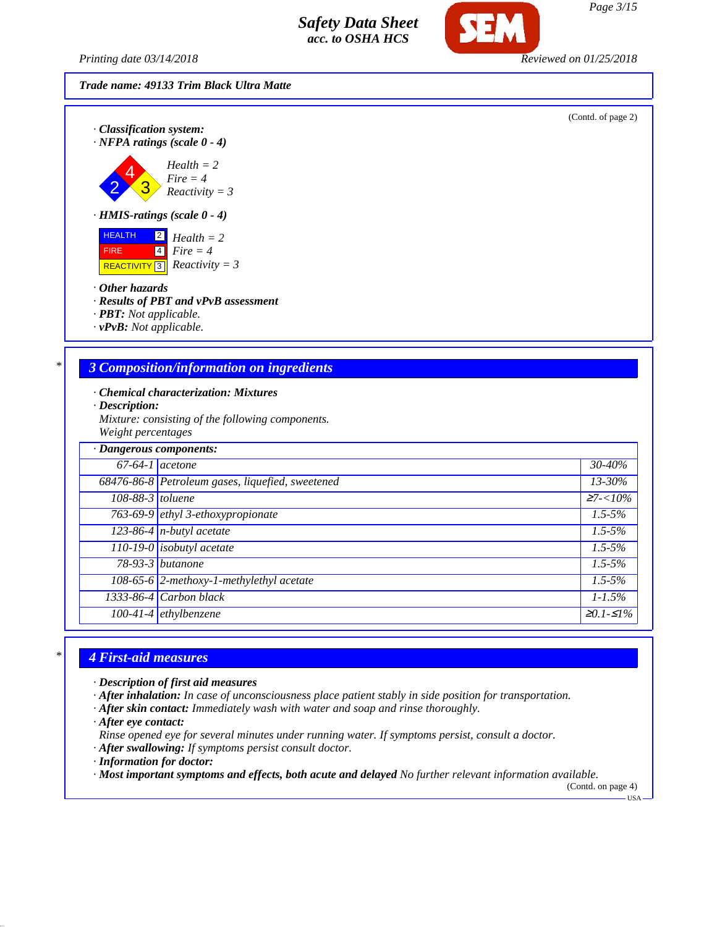*Printing date 03/14/2018 Reviewed on 01/25/2018*



(Contd. of page 2)





*· HMIS-ratings (scale 0 - 4)*

 HEALTH FIRE REACTIVITY 2 4 3 *Health = 2 Fire = 4 Reactivity = 3*

*· Other hazards*

*· Results of PBT and vPvB assessment*

*· PBT: Not applicable.*

*· vPvB: Not applicable.*

## *\* 3 Composition/information on ingredients*

*· Chemical characterization: Mixtures*

*· Description:*

*Mixture: consisting of the following components. Weight percentages*

| · Dangerous components: |                                                       |             |
|-------------------------|-------------------------------------------------------|-------------|
| $67-64-1$ acetone       |                                                       | 30-40%      |
|                         | 68476-86-8 Petroleum gases, liquefied, sweetened      | 13-30%      |
| $108-88-3$ toluene      |                                                       | $27 - 10\%$ |
|                         | 763-69-9 ethyl 3-ethoxypropionate                     | $1.5 - 5\%$ |
|                         | $\overline{123-86-4}$ n-butyl acetate                 | $1.5 - 5\%$ |
|                         | 110-19-0 <i>isobutyl</i> acetate                      | $1.5 - 5\%$ |
|                         | $78-93-3$ butanone                                    | $1.5 - 5\%$ |
|                         | $\overline{108-65-6}$ 2-methoxy-1-methylethyl acetate | $1.5 - 5\%$ |
|                         | $1333-86-4$ Carbon black                              | $1 - 1.5\%$ |
|                         | $100-41-4$ ethylbenzene                               | $≥0.1-S1%$  |

## *\* 4 First-aid measures*

*· Description of first aid measures*

*· After inhalation: In case of unconsciousness place patient stably in side position for transportation.*

*· After skin contact: Immediately wash with water and soap and rinse thoroughly.*

*· After eye contact:*

*Rinse opened eye for several minutes under running water. If symptoms persist, consult a doctor.*

*· After swallowing: If symptoms persist consult doctor.*

*· Information for doctor:*

*· Most important symptoms and effects, both acute and delayed No further relevant information available.*

(Contd. on page 4) USA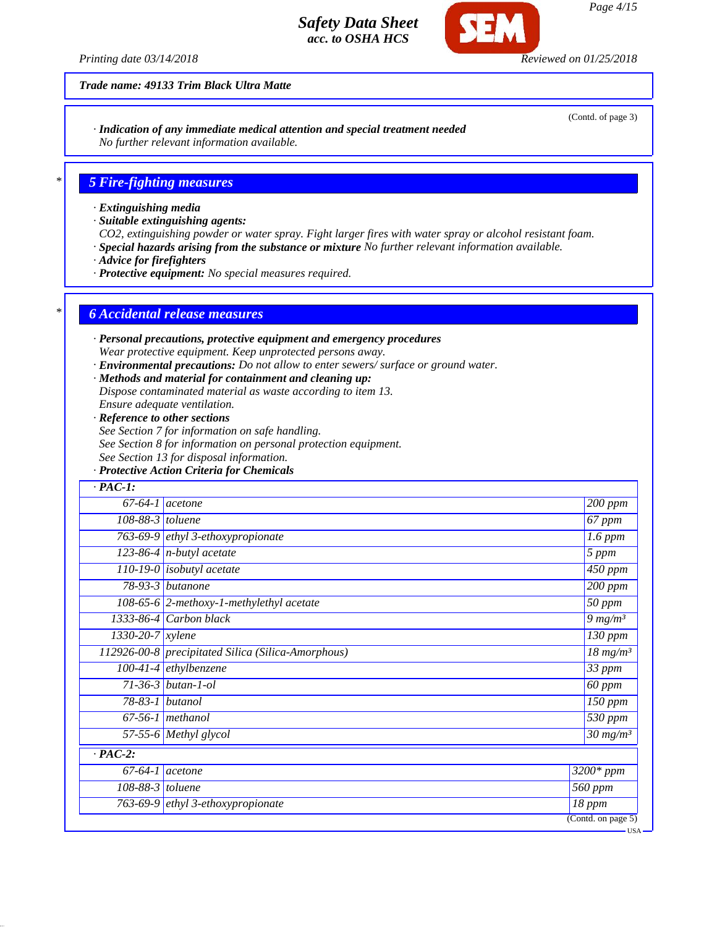*Printing date 03/14/2018 Reviewed on 01/25/2018*

*Trade name: 49133 Trim Black Ultra Matte*

*· Indication of any immediate medical attention and special treatment needed No further relevant information available.*

## *\* 5 Fire-fighting measures*

- *· Extinguishing media*
- *· Suitable extinguishing agents:*
- *CO2, extinguishing powder or water spray. Fight larger fires with water spray or alcohol resistant foam.*
- *· Special hazards arising from the substance or mixture No further relevant information available.*
- *· Advice for firefighters*
- *· Protective equipment: No special measures required.*

#### *\* 6 Accidental release measures*

- *· Personal precautions, protective equipment and emergency procedures Wear protective equipment. Keep unprotected persons away.*
- *· Environmental precautions: Do not allow to enter sewers/ surface or ground water.*
- *· Methods and material for containment and cleaning up:*
- *Dispose contaminated material as waste according to item 13.*
- *Ensure adequate ventilation.*
- *· Reference to other sections*
- *See Section 7 for information on safe handling.*
- *See Section 8 for information on personal protection equipment.*
- *See Section 13 for disposal information.*
- *· Protective Action Criteria for Chemicals*

| $\cdot$ PAC-1:                |                                                    |                                        |
|-------------------------------|----------------------------------------------------|----------------------------------------|
|                               | $67-64-1$ acetone                                  | 200 ppm                                |
| 108-88-3 toluene              |                                                    | 67 ppm                                 |
|                               | 763-69-9 ethyl 3-ethoxypropionate                  | $1.6$ ppm                              |
|                               | 123-86-4 $n$ -butyl acetate                        | 5 ppm                                  |
|                               | $110-19-0$ isobutyl acetate                        | $\overline{450}$ ppm                   |
|                               | 78-93-3 butanone                                   | $200$ ppm                              |
|                               | $108-65-6$ 2-methoxy-1-methylethyl acetate         | $\overline{50}$ ppm                    |
|                               | 1333-86-4 Carbon black                             | $9 \, mg/m3$                           |
| $1330 - 20 - 7$ <i>xylene</i> |                                                    | 130 ppm                                |
|                               | 112926-00-8 precipitated Silica (Silica-Amorphous) | $\frac{18 \text{ m} g}{m^3}$           |
|                               | $100-41-4$ ethylbenzene                            | 33 ppm                                 |
|                               | $71 - 36 - 3$ butan-1-ol                           | 60 ppm                                 |
|                               | 78-83-1 butanol                                    | 150 ppm                                |
|                               | $67-56-1$ methanol                                 | 530 ppm                                |
|                               | 57-55-6 Methyl glycol                              | $\overline{30}$ mg/m <sup>3</sup>      |
| $\cdot$ PAC-2:                |                                                    |                                        |
|                               | $67-64-1$ acetone                                  | $\overline{3}200*ppm$                  |
| 108-88-3 toluene              |                                                    | $\overline{560}$ ppm                   |
|                               | 763-69-9 ethyl 3-ethoxypropionate                  | 18 ppm                                 |
|                               |                                                    | $\overline{(\text{Contd. on page 5})}$ |

(Contd. of page 3)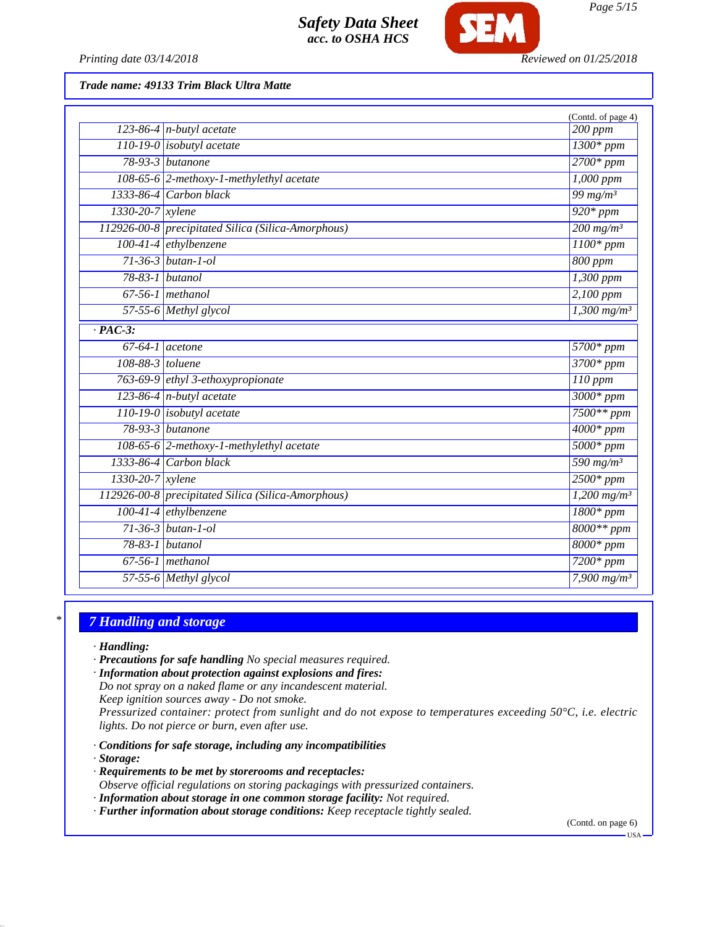

*Printing date 03/14/2018 Reviewed on 01/25/2018*

*Trade name: 49133 Trim Black Ultra Matte*

|                      |                                                    | (Contd. of page 4)        |
|----------------------|----------------------------------------------------|---------------------------|
|                      | 123-86-4 $n$ -butyl acetate                        | $\overline{2}00$ ppm      |
|                      | $110-19-0$ isobutyl acetate                        | $1300*$ ppm               |
|                      | $78-93-3$ butanone                                 | $2700*ppm$                |
|                      | 108-65-6 2-methoxy-1-methylethyl acetate           | 1,000 ppm                 |
|                      | $1333-86-4$ Carbon black                           | 99 $mg/m^3$               |
| 1330-20-7 xylene     |                                                    | $\frac{1}{920*ppm}$       |
|                      | 112926-00-8 precipitated Silica (Silica-Amorphous) | $200$ mg/m <sup>3</sup>   |
|                      | 100-41-4 ethylbenzene                              | $1100*ppm$                |
|                      | $71-36-3$ butan-1-ol                               | 800 ppm                   |
| 78-83-1 butanol      |                                                    | $1,300$ ppm               |
|                      | $67-56-1$ methanol                                 | $2,100$ ppm               |
|                      | 57-55-6 Methyl glycol                              | $1,300$ mg/m <sup>3</sup> |
| $\overline{PAC-3}$ : |                                                    |                           |
| $67-64-1$ acetone    |                                                    | 5700* ppm                 |
| 108-88-3 toluene     |                                                    | 3700* ppm                 |
|                      | 763-69-9 ethyl 3-ethoxypropionate                  | $110$ ppm                 |
|                      | 123-86-4 $n$ -butyl acetate                        | 3000* ppm                 |
|                      | $110-19-0$ isobutyl acetate                        | $7500**$ ppm              |
|                      | $78-93-3$ butanone                                 | $4000*$ ppm               |
|                      | 108-65-6 2-methoxy-1-methylethyl acetate           | $5000*ppm$                |
|                      | $1333-86-4$ Carbon black                           | 590 $mg/m^3$              |
| 1330-20-7 xylene     |                                                    | $2500*ppm$                |
|                      | 112926-00-8 precipitated Silica (Silica-Amorphous) | $1,200$ mg/m <sup>3</sup> |
|                      | 100-41-4 ethylbenzene                              | $1800*ppm$                |
|                      | $71 - 36 - 3$ butan-1-ol                           | $8000**ppm$               |
|                      | 78-83-1 butanol                                    | $8000*$ ppm               |
|                      | $67-56-1$ methanol                                 | $7200*ppm$                |
|                      | 57-55-6 Methyl glycol                              | 7,900 $mg/m^3$            |

## *\* 7 Handling and storage*

*· Handling:*

- *· Precautions for safe handling No special measures required.*
- *· Information about protection against explosions and fires:*
- *Do not spray on a naked flame or any incandescent material.*
- *Keep ignition sources away Do not smoke.*

*Pressurized container: protect from sunlight and do not expose to temperatures exceeding 50°C, i.e. electric lights. Do not pierce or burn, even after use.*

- *· Conditions for safe storage, including any incompatibilities*
- *· Storage:*
- *· Requirements to be met by storerooms and receptacles: Observe official regulations on storing packagings with pressurized containers.*
- *· Information about storage in one common storage facility: Not required.*
- *· Further information about storage conditions: Keep receptacle tightly sealed.*

(Contd. on page 6)

USA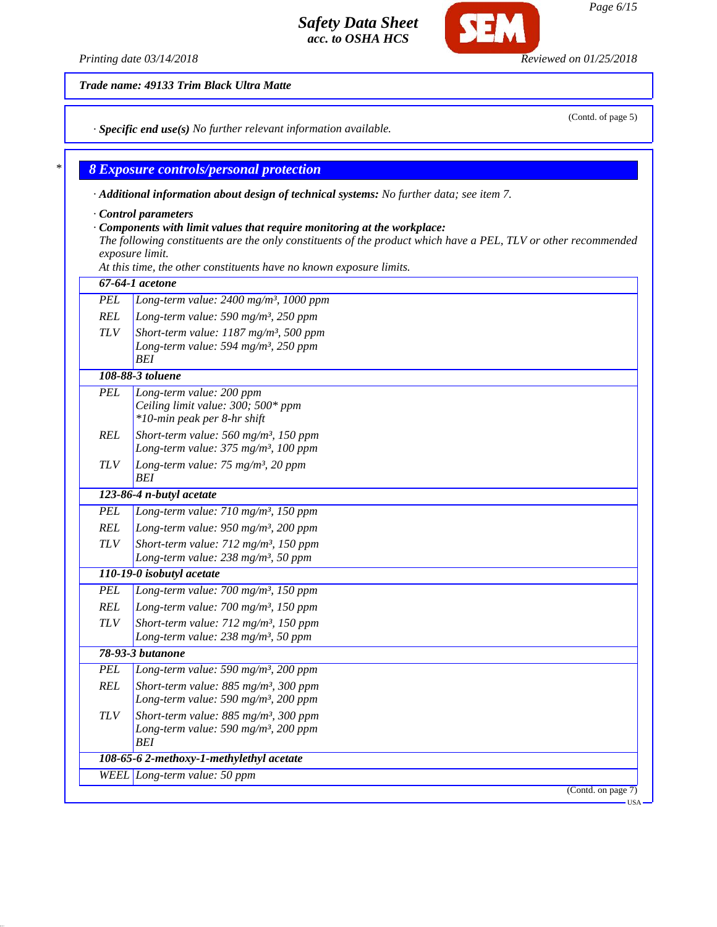*Trade name: 49133 Trim Black Ultra Matte*

*· Specific end use(s) No further relevant information available.*

### *\* 8 Exposure controls/personal protection*

*· Additional information about design of technical systems: No further data; see item 7.*

*· Control parameters*

#### *· Components with limit values that require monitoring at the workplace:*

*The following constituents are the only constituents of the product which have a PEL, TLV or other recommended exposure limit.*

*At this time, the other constituents have no known exposure limits.*

|            | 67-64-1 acetone                                                                                                        |  |  |
|------------|------------------------------------------------------------------------------------------------------------------------|--|--|
| <b>PEL</b> | Long-term value: 2400 mg/m <sup>3</sup> , 1000 ppm                                                                     |  |  |
| REL        | Long-term value: 590 mg/m <sup>3</sup> , 250 ppm                                                                       |  |  |
| <b>TLV</b> | Short-term value: $1187$ mg/m <sup>3</sup> , 500 ppm<br>Long-term value: 594 mg/m <sup>3</sup> , 250 ppm<br><b>BEI</b> |  |  |
|            | 108-88-3 toluene                                                                                                       |  |  |
| <b>PEL</b> | Long-term value: 200 ppm<br>Ceiling limit value: 300; 500* ppm<br>*10-min peak per 8-hr shift                          |  |  |
| <b>REL</b> | Short-term value: $560$ mg/m <sup>3</sup> , 150 ppm<br>Long-term value: 375 mg/m <sup>3</sup> , 100 ppm                |  |  |
| <b>TLV</b> | Long-term value: 75 mg/m <sup>3</sup> , 20 ppm<br><b>BEI</b>                                                           |  |  |
|            | 123-86-4 n-butyl acetate                                                                                               |  |  |
| <b>PEL</b> | Long-term value: 710 mg/m <sup>3</sup> , 150 ppm                                                                       |  |  |
| REL        | Long-term value: $950$ mg/m <sup>3</sup> , 200 ppm                                                                     |  |  |
| <b>TLV</b> | Short-term value: 712 mg/m <sup>3</sup> , 150 ppm                                                                      |  |  |
|            | Long-term value: 238 mg/m <sup>3</sup> , 50 ppm                                                                        |  |  |
|            | 110-19-0 isobutyl acetate                                                                                              |  |  |
| <b>PEL</b> | Long-term value: 700 mg/m <sup>3</sup> , 150 ppm                                                                       |  |  |
| <b>REL</b> | Long-term value: 700 mg/m <sup>3</sup> , 150 ppm                                                                       |  |  |
| <b>TLV</b> | Short-term value: $712$ mg/m <sup>3</sup> , 150 ppm<br>Long-term value: $238$ mg/m <sup>3</sup> , 50 ppm               |  |  |
|            | 78-93-3 butanone                                                                                                       |  |  |
| <b>PEL</b> | Long-term value: 590 mg/m <sup>3</sup> , 200 ppm                                                                       |  |  |
| REL        | Short-term value: $885$ mg/m <sup>3</sup> , 300 ppm<br>Long-term value: 590 mg/m <sup>3</sup> , 200 ppm                |  |  |
| <b>TLV</b> | Short-term value: $885$ mg/m <sup>3</sup> , 300 ppm<br>Long-term value: 590 mg/m <sup>3</sup> , 200 ppm<br>BEI         |  |  |
|            | 108-65-6 2-methoxy-1-methylethyl acetate                                                                               |  |  |
|            | WEEL Long-term value: 50 ppm                                                                                           |  |  |
|            | (Cond. on page 7)                                                                                                      |  |  |

*Page 6/15*

*Printing date 03/14/2018 Reviewed on 01/25/2018*

(Contd. of page 5)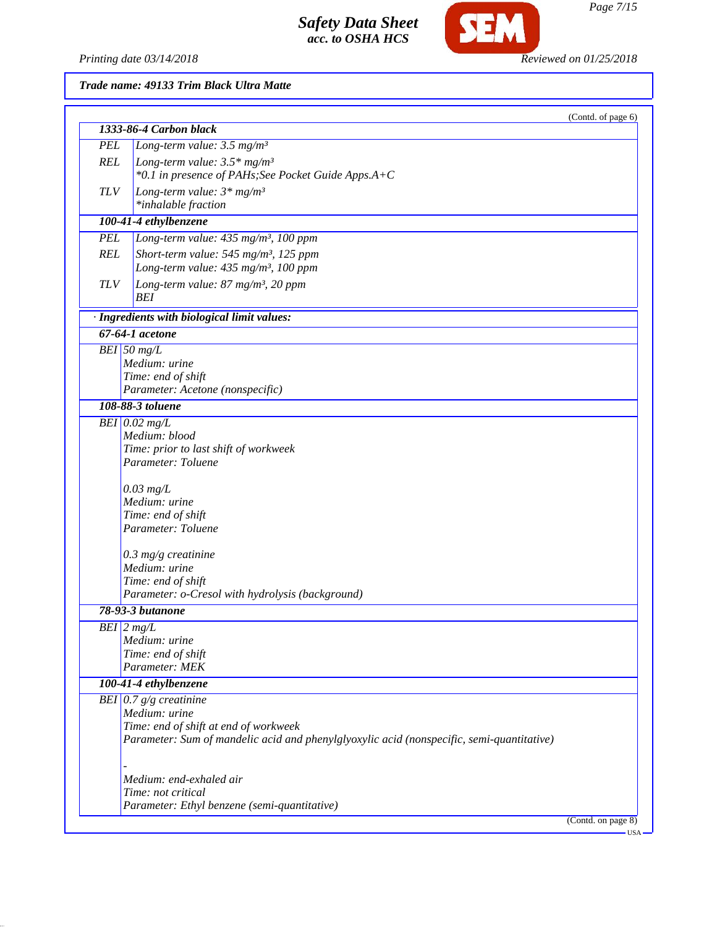*Printing date 03/14/2018 Reviewed on 01/25/2018*

SEM

*Trade name: 49133 Trim Black Ultra Matte*

|               | 1333-86-4 Carbon black                                                                    | (Contd. of page 6) |
|---------------|-------------------------------------------------------------------------------------------|--------------------|
| <b>PEL</b>    | Long-term value: $3.5 \text{ mg/m}^3$                                                     |                    |
| <b>REL</b>    | Long-term value: $3.5*$ mg/m <sup>3</sup>                                                 |                    |
|               | *0.1 in presence of PAHs; See Pocket Guide Apps.A+C                                       |                    |
| <b>TLV</b>    |                                                                                           |                    |
|               | Long-term value: $3*mg/m^3$                                                               |                    |
|               | *inhalable fraction                                                                       |                    |
|               | 100-41-4 ethylbenzene                                                                     |                    |
| <b>PEL</b>    | Long-term value: 435 mg/m <sup>3</sup> , 100 ppm                                          |                    |
| <b>REL</b>    | Short-term value: 545 mg/m <sup>3</sup> , 125 ppm                                         |                    |
|               | Long-term value: 435 mg/m <sup>3</sup> , 100 ppm                                          |                    |
| <b>TLV</b>    | Long-term value: 87 mg/m <sup>3</sup> , 20 ppm                                            |                    |
|               | BEI                                                                                       |                    |
|               | · Ingredients with biological limit values:                                               |                    |
|               | 67-64-1 acetone                                                                           |                    |
| $BEI$ 50 mg/L |                                                                                           |                    |
|               | Medium: urine                                                                             |                    |
|               | Time: end of shift                                                                        |                    |
|               | Parameter: Acetone (nonspecific)                                                          |                    |
|               | 108-88-3 toluene                                                                          |                    |
|               |                                                                                           |                    |
|               | $BEI$ 0.02 mg/L                                                                           |                    |
|               | Medium: blood                                                                             |                    |
|               | Time: prior to last shift of workweek                                                     |                    |
|               | Parameter: Toluene                                                                        |                    |
|               |                                                                                           |                    |
|               | $0.03$ mg/L<br>Medium: urine                                                              |                    |
|               | Time: end of shift                                                                        |                    |
|               | Parameter: Toluene                                                                        |                    |
|               |                                                                                           |                    |
|               | $0.3$ mg/g creatinine                                                                     |                    |
|               | Medium: urine                                                                             |                    |
|               | Time: end of shift                                                                        |                    |
|               | Parameter: o-Cresol with hydrolysis (background)                                          |                    |
|               | 78-93-3 butanone                                                                          |                    |
| $BEI$ 2 mg/L  |                                                                                           |                    |
|               | Medium: urine                                                                             |                    |
|               | Time: end of shift                                                                        |                    |
|               | Parameter: MEK                                                                            |                    |
|               | 100-41-4 ethylbenzene                                                                     |                    |
|               | BEI $0.7 g/g$ creatinine                                                                  |                    |
|               | Medium: urine                                                                             |                    |
|               | Time: end of shift at end of workweek                                                     |                    |
|               | Parameter: Sum of mandelic acid and phenylglyoxylic acid (nonspecific, semi-quantitative) |                    |
|               |                                                                                           |                    |
|               |                                                                                           |                    |
|               | Medium: end-exhaled air                                                                   |                    |
|               | Time: not critical                                                                        |                    |
|               | Parameter: Ethyl benzene (semi-quantitative)                                              |                    |
|               |                                                                                           | (Contd. on page 8) |

*Page 7/15*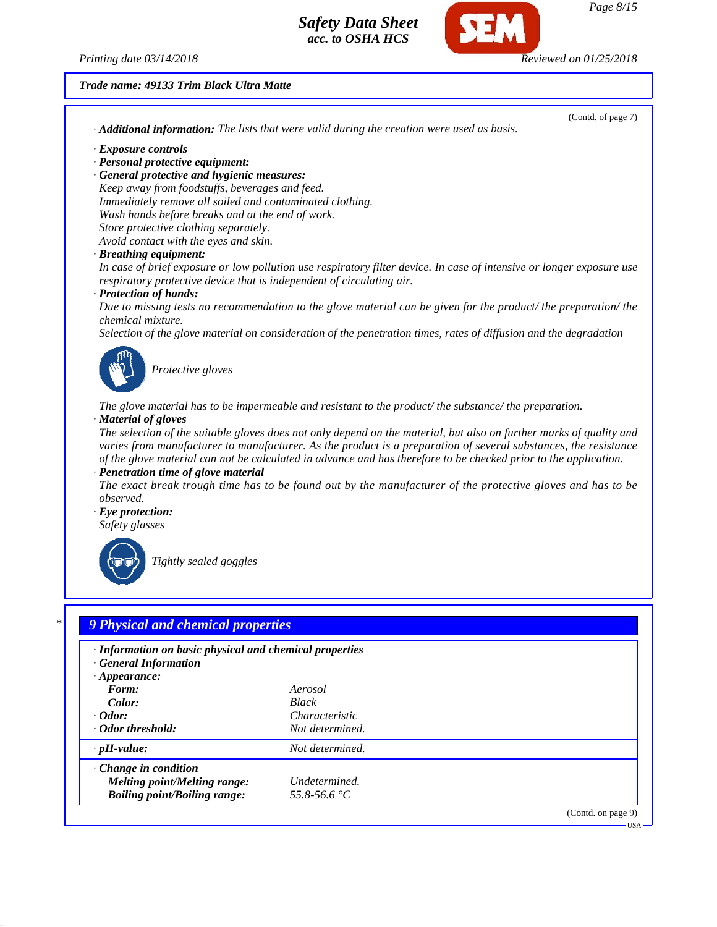*Printing date 03/14/2018 Reviewed on 01/25/2018*

#### *Trade name: 49133 Trim Black Ultra Matte*

(Contd. of page 7) *· Additional information: The lists that were valid during the creation were used as basis. · Exposure controls · Personal protective equipment: · General protective and hygienic measures: Keep away from foodstuffs, beverages and feed. Immediately remove all soiled and contaminated clothing. Wash hands before breaks and at the end of work. Store protective clothing separately. Avoid contact with the eyes and skin. · Breathing equipment: In case of brief exposure or low pollution use respiratory filter device. In case of intensive or longer exposure use respiratory protective device that is independent of circulating air. · Protection of hands: Due to missing tests no recommendation to the glove material can be given for the product/ the preparation/ the chemical mixture. Selection of the glove material on consideration of the penetration times, rates of diffusion and the degradation Protective gloves The glove material has to be impermeable and resistant to the product/ the substance/ the preparation. · Material of gloves The selection of the suitable gloves does not only depend on the material, but also on further marks of quality and varies from manufacturer to manufacturer. As the product is a preparation of several substances, the resistance of the glove material can not be calculated in advance and has therefore to be checked prior to the application. · Penetration time of glove material The exact break trough time has to be found out by the manufacturer of the protective gloves and has to be observed. · Eye protection: Safety glasses Tightly sealed goggles \* 9 Physical and chemical properties · Information on basic physical and chemical properties · General Information*

| · General Information               |                       |
|-------------------------------------|-----------------------|
| $\cdot$ Appearance:                 |                       |
| Form:                               | Aerosol               |
| Color:                              | <b>Black</b>          |
| $\cdot$ Odor:                       | <i>Characteristic</i> |
| ⋅ Odor threshold:                   | Not determined.       |
| $\cdot$ pH-value:                   | Not determined.       |
| $\cdot$ Change in condition         |                       |
| Melting point/Melting range:        | Undetermined.         |
| <b>Boiling point/Boiling range:</b> | 55.8-56.6 °C          |
|                                     | (Contd. on page 9)    |

# *Page 8/15*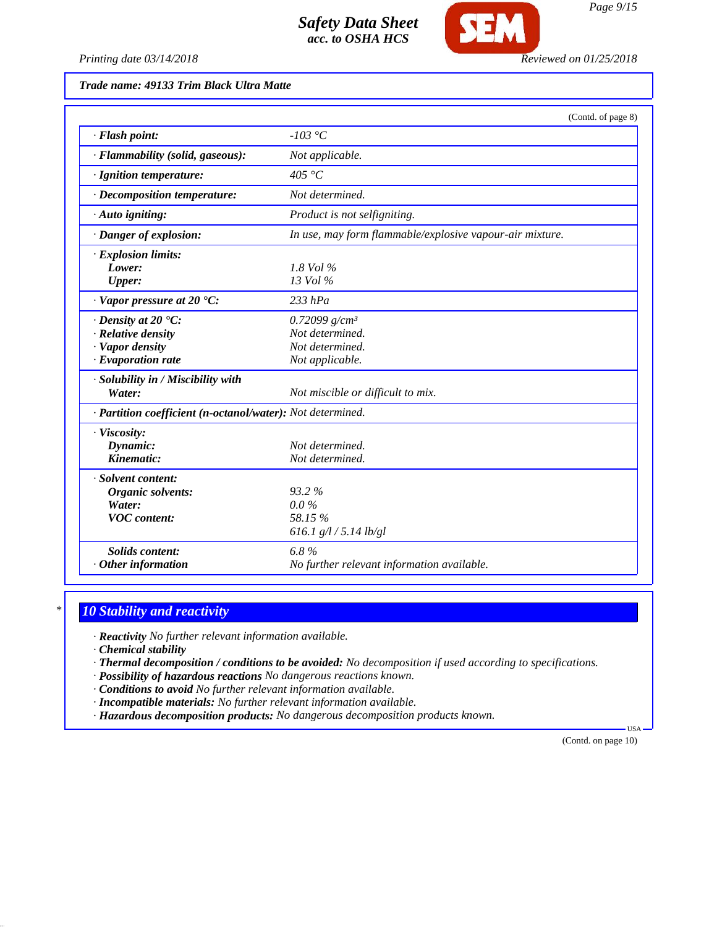

### *Trade name: 49133 Trim Black Ultra Matte*

|                                                                                                             | (Contd. of page 8)                                                        |
|-------------------------------------------------------------------------------------------------------------|---------------------------------------------------------------------------|
| · Flash point:                                                                                              | $-103$ °C                                                                 |
| · Flammability (solid, gaseous):                                                                            | Not applicable.                                                           |
| · Ignition temperature:                                                                                     | 405 °C                                                                    |
| · Decomposition temperature:                                                                                | Not determined.                                                           |
| · Auto igniting:                                                                                            | Product is not selfigniting.                                              |
| $\cdot$ Danger of explosion:                                                                                | In use, may form flammable/explosive vapour-air mixture.                  |
| · Explosion limits:<br>Lower:<br><b>Upper:</b>                                                              | $1.8$ Vol $\%$<br>13 Vol %                                                |
| $\cdot$ Vapor pressure at 20 $\textdegree$ C:                                                               | $233$ hPa                                                                 |
| $\cdot$ Density at 20 $\textdegree$ C:<br>· Relative density<br>· Vapor density<br>$\cdot$ Evaporation rate | 0.72099 $g/cm^3$<br>Not determined.<br>Not determined.<br>Not applicable. |
| · Solubility in / Miscibility with<br>Water:                                                                | Not miscible or difficult to mix.                                         |
| · Partition coefficient (n-octanol/water): Not determined.                                                  |                                                                           |
| · Viscosity:<br>Dynamic:<br>Kinematic:                                                                      | Not determined.<br>Not determined.                                        |
| · Solvent content:<br><b>Organic solvents:</b><br>Water:<br><b>VOC</b> content:                             | $93.2\%$<br>$0.0\%$<br>58.15 %<br>616.1 $g/l / 5.14$ lb/gl                |
| <b>Solids content:</b><br>$·$ Other information                                                             | 6.8%<br>No further relevant information available.                        |

## *\* 10 Stability and reactivity*

*· Reactivity No further relevant information available.*

*· Chemical stability*

*· Thermal decomposition / conditions to be avoided: No decomposition if used according to specifications.*

*· Possibility of hazardous reactions No dangerous reactions known.*

*· Conditions to avoid No further relevant information available.*

*· Incompatible materials: No further relevant information available.*

*· Hazardous decomposition products: No dangerous decomposition products known.*

(Contd. on page 10)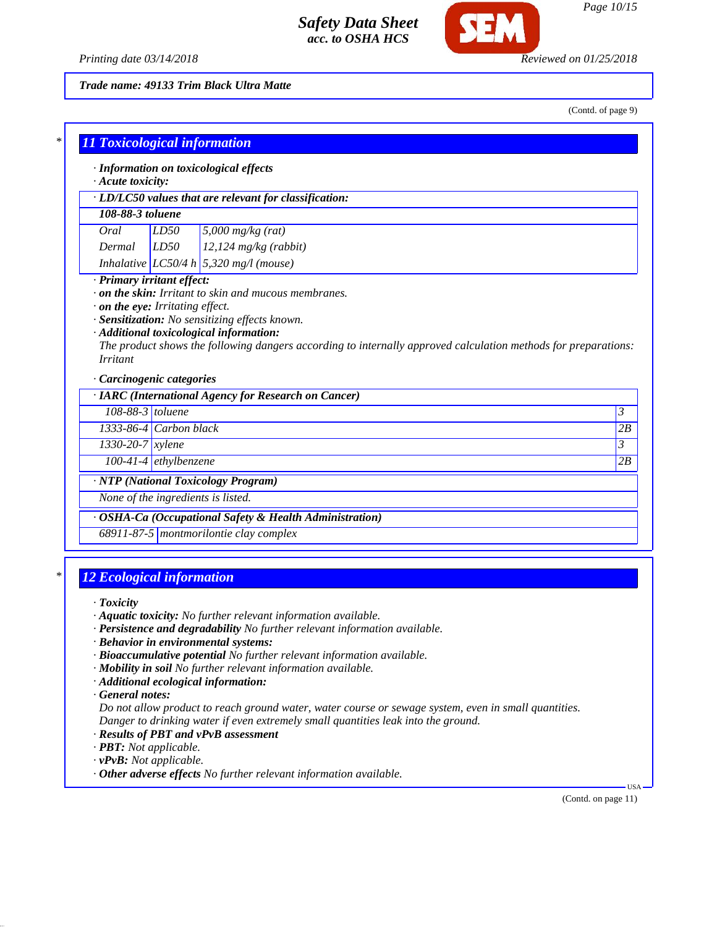

*Printing date 03/14/2018 Reviewed on 01/25/2018*

*Trade name: 49133 Trim Black Ultra Matte*

(Contd. of page 9)

|                    | · LD/LC50 values that are relevant for classification:                                                                                                                               |              |
|--------------------|--------------------------------------------------------------------------------------------------------------------------------------------------------------------------------------|--------------|
| 108-88-3 toluene   |                                                                                                                                                                                      |              |
| Oral               | LD50<br>$5,000$ mg/kg (rat)                                                                                                                                                          |              |
| Dermal             | LD50<br>$12,124$ mg/kg (rabbit)                                                                                                                                                      |              |
|                    | Inhalative LC50/4 h 5,320 mg/l (mouse)                                                                                                                                               |              |
|                    | $\cdot$ on the eye: Irritating effect.<br>· Sensitization: No sensitizing effects known.                                                                                             |              |
| <i>Irritant</i>    | · Additional toxicological information:<br>The product shows the following dangers according to internally approved calculation methods for preparations:<br>Carcinogenic categories |              |
|                    | · IARC (International Agency for Research on Cancer)                                                                                                                                 |              |
|                    | 108-88-3 toluene                                                                                                                                                                     |              |
|                    | 1333-86-4 Carbon black                                                                                                                                                               |              |
| $1330-20-7$ xylene |                                                                                                                                                                                      | 3<br>2B<br>3 |
|                    | $\overline{100}$ -41-4 ethylbenzene<br>· NTP (National Toxicology Program)                                                                                                           | 2B           |

## *\* 12 Ecological information*

*· Toxicity*

- *· Aquatic toxicity: No further relevant information available.*
- *· Persistence and degradability No further relevant information available.*
- *· Behavior in environmental systems:*
- *· Bioaccumulative potential No further relevant information available.*
- *· Mobility in soil No further relevant information available.*
- *· Additional ecological information:*

*· General notes:*

*Do not allow product to reach ground water, water course or sewage system, even in small quantities. Danger to drinking water if even extremely small quantities leak into the ground.*

- *· Results of PBT and vPvB assessment*
- *· PBT: Not applicable.*
- *· vPvB: Not applicable.*
- *· Other adverse effects No further relevant information available.*

(Contd. on page 11)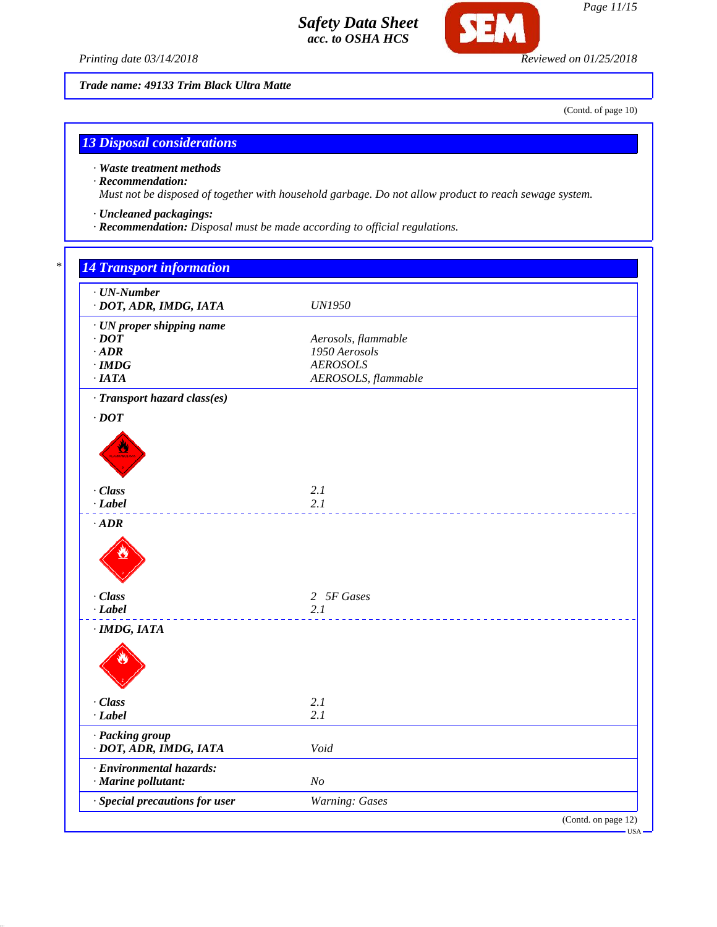



*Trade name: 49133 Trim Black Ultra Matte*

(Contd. of page 10)

# *13 Disposal considerations*

*· Waste treatment methods*

### *· Recommendation:*

*Must not be disposed of together with household garbage. Do not allow product to reach sewage system.*

- *· Uncleaned packagings:*
- *· Recommendation: Disposal must be made according to official regulations.*

| <b>UN1950</b><br>· UN proper shipping name<br>$\cdot$ DOT<br>Aerosols, flammable<br>1950 Aerosols<br>$\cdot$ ADR<br><b>AEROSOLS</b><br>$\cdot$ IMDG<br>AEROSOLS, flammable<br>·IATA<br>· Transport hazard class(es)<br>$\cdot$ DOT<br>· Class<br>2.1<br>2.1<br>$-Label$<br>$\cdot$ ADR<br>· Class<br>2 5F Gases<br>2.1<br>· Class<br>2.1<br>2.1<br>$\cdot$ Label<br>· Packing group<br>· DOT, ADR, IMDG, IATA<br>Void<br>· Environmental hazards:<br>· Marine pollutant:<br>N <sub>O</sub> | $\cdot$ UN-Number              |  |
|--------------------------------------------------------------------------------------------------------------------------------------------------------------------------------------------------------------------------------------------------------------------------------------------------------------------------------------------------------------------------------------------------------------------------------------------------------------------------------------------|--------------------------------|--|
|                                                                                                                                                                                                                                                                                                                                                                                                                                                                                            | · DOT, ADR, IMDG, IATA         |  |
|                                                                                                                                                                                                                                                                                                                                                                                                                                                                                            |                                |  |
|                                                                                                                                                                                                                                                                                                                                                                                                                                                                                            |                                |  |
|                                                                                                                                                                                                                                                                                                                                                                                                                                                                                            |                                |  |
|                                                                                                                                                                                                                                                                                                                                                                                                                                                                                            |                                |  |
|                                                                                                                                                                                                                                                                                                                                                                                                                                                                                            |                                |  |
|                                                                                                                                                                                                                                                                                                                                                                                                                                                                                            |                                |  |
|                                                                                                                                                                                                                                                                                                                                                                                                                                                                                            |                                |  |
|                                                                                                                                                                                                                                                                                                                                                                                                                                                                                            |                                |  |
|                                                                                                                                                                                                                                                                                                                                                                                                                                                                                            |                                |  |
|                                                                                                                                                                                                                                                                                                                                                                                                                                                                                            |                                |  |
|                                                                                                                                                                                                                                                                                                                                                                                                                                                                                            |                                |  |
|                                                                                                                                                                                                                                                                                                                                                                                                                                                                                            |                                |  |
|                                                                                                                                                                                                                                                                                                                                                                                                                                                                                            |                                |  |
|                                                                                                                                                                                                                                                                                                                                                                                                                                                                                            |                                |  |
|                                                                                                                                                                                                                                                                                                                                                                                                                                                                                            |                                |  |
|                                                                                                                                                                                                                                                                                                                                                                                                                                                                                            |                                |  |
|                                                                                                                                                                                                                                                                                                                                                                                                                                                                                            |                                |  |
|                                                                                                                                                                                                                                                                                                                                                                                                                                                                                            |                                |  |
|                                                                                                                                                                                                                                                                                                                                                                                                                                                                                            |                                |  |
|                                                                                                                                                                                                                                                                                                                                                                                                                                                                                            |                                |  |
|                                                                                                                                                                                                                                                                                                                                                                                                                                                                                            |                                |  |
|                                                                                                                                                                                                                                                                                                                                                                                                                                                                                            |                                |  |
|                                                                                                                                                                                                                                                                                                                                                                                                                                                                                            |                                |  |
|                                                                                                                                                                                                                                                                                                                                                                                                                                                                                            |                                |  |
|                                                                                                                                                                                                                                                                                                                                                                                                                                                                                            | $-Label$<br>$\cdot$ IMDG, IATA |  |
|                                                                                                                                                                                                                                                                                                                                                                                                                                                                                            |                                |  |
|                                                                                                                                                                                                                                                                                                                                                                                                                                                                                            |                                |  |
|                                                                                                                                                                                                                                                                                                                                                                                                                                                                                            |                                |  |
|                                                                                                                                                                                                                                                                                                                                                                                                                                                                                            |                                |  |
|                                                                                                                                                                                                                                                                                                                                                                                                                                                                                            |                                |  |
|                                                                                                                                                                                                                                                                                                                                                                                                                                                                                            |                                |  |
|                                                                                                                                                                                                                                                                                                                                                                                                                                                                                            |                                |  |
|                                                                                                                                                                                                                                                                                                                                                                                                                                                                                            |                                |  |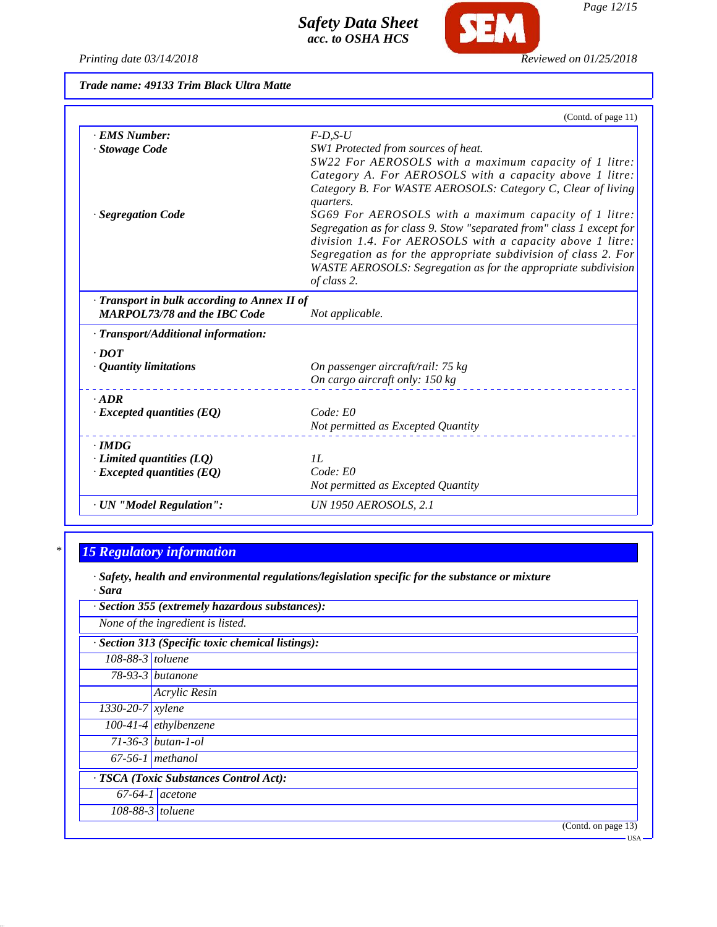*Printing date 03/14/2018 Reviewed on 01/25/2018*

**SEM** 

*Trade name: 49133 Trim Black Ultra Matte*

|                                              | (Contd. of page 11)                                                      |
|----------------------------------------------|--------------------------------------------------------------------------|
| · EMS Number:                                | $F$ -D,S-U                                                               |
| · Stowage Code                               | SW1 Protected from sources of heat.                                      |
|                                              | SW22 For AEROSOLS with a maximum capacity of 1 litre:                    |
|                                              | Category A. For AEROSOLS with a capacity above 1 litre:                  |
|                                              | Category B. For WASTE AEROSOLS: Category C, Clear of living<br>quarters. |
| · Segregation Code                           | SG69 For AEROSOLS with a maximum capacity of 1 litre:                    |
|                                              | Segregation as for class 9. Stow "separated from" class 1 except for     |
|                                              | division 1.4. For AEROSOLS with a capacity above 1 litre:                |
|                                              | Segregation as for the appropriate subdivision of class 2. For           |
|                                              | WASTE AEROSOLS: Segregation as for the appropriate subdivision           |
|                                              | of class 2.                                                              |
| · Transport in bulk according to Annex II of |                                                                          |
| <b>MARPOL73/78 and the IBC Code</b>          | Not applicable.                                                          |
| · Transport/Additional information:          |                                                                          |
| $\cdot$ DOT                                  |                                                                          |
| · Quantity limitations                       | On passenger aircraft/rail: 75 kg                                        |
|                                              | On cargo aircraft only: 150 kg                                           |
| $\cdot$ ADR                                  |                                                                          |
| $\cdot$ Excepted quantities (EQ)             | Code: E0                                                                 |
|                                              | Not permitted as Excepted Quantity                                       |
| $\cdot$ IMDG                                 |                                                                          |
| $\cdot$ Limited quantities (LQ)              | II.                                                                      |
| $\cdot$ Excepted quantities (EQ)             | Code: E0                                                                 |
|                                              | Not permitted as Excepted Quantity                                       |
| · UN "Model Regulation":                     | <b>UN 1950 AEROSOLS, 2.1</b>                                             |

# *\* 15 Regulatory information*

*· Safety, health and environmental regulations/legislation specific for the substance or mixture · Sara*

| · Section 355 (extremely hazardous substances):   |                          |  |
|---------------------------------------------------|--------------------------|--|
| None of the ingredient is listed.                 |                          |  |
| · Section 313 (Specific toxic chemical listings): |                          |  |
| $108-88-3$ toluene                                |                          |  |
|                                                   | $78-93-3$ butanone       |  |
|                                                   | Acrylic Resin            |  |
| $1330 - 20 - 7$ <i>xylene</i>                     |                          |  |
|                                                   | $100-41-4$ ethylbenzene  |  |
|                                                   | $71 - 36 - 3$ butan-1-ol |  |
|                                                   | $67-56-1$ methanol       |  |
| · TSCA (Toxic Substances Control Act):            |                          |  |
|                                                   | $67-64-1$ acetone        |  |
|                                                   | $108-88-3$ toluene       |  |
|                                                   | (Contd. on page 13)      |  |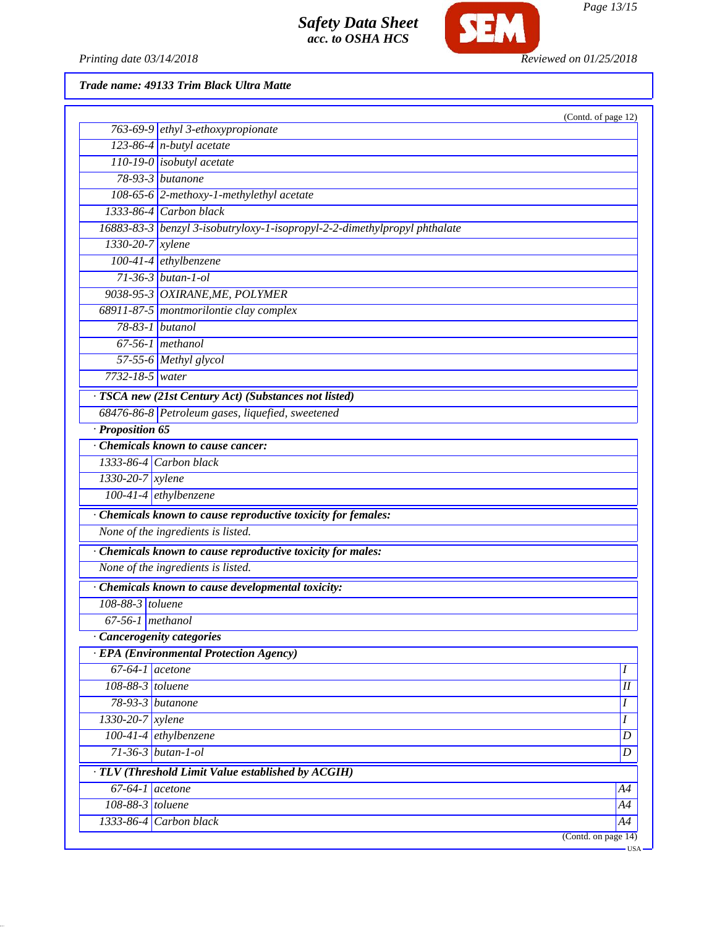

*Page 13/15*

*Printing date 03/14/2018 Reviewed on 01/25/2018*

*Trade name: 49133 Trim Black Ultra Matte*

|                        |                                                                           | (Contd. of page 12)      |
|------------------------|---------------------------------------------------------------------------|--------------------------|
|                        | 763-69-9 ethyl 3-ethoxypropionate                                         |                          |
|                        | $123-86-4$ n-butyl acetate                                                |                          |
|                        | $110-19-0$ isobutyl acetate                                               |                          |
|                        | $78-93-3$ butanone                                                        |                          |
|                        | 108-65-6 2-methoxy-1-methylethyl acetate                                  |                          |
|                        | $1333-86-4$ Carbon black                                                  |                          |
|                        | 16883-83-3 benzyl 3-isobutryloxy-1-isopropyl-2-2-dimethylpropyl phthalate |                          |
| $1330 - 20 - 7$ xylene |                                                                           |                          |
|                        | 100-41-4 ethylbenzene                                                     |                          |
|                        | $71-36-3$ butan-1-ol                                                      |                          |
|                        | 9038-95-3 OXIRANE, ME, POLYMER                                            |                          |
|                        | 68911-87-5 montmorilontie clay complex                                    |                          |
| 78-83-1 butanol        |                                                                           |                          |
|                        | $67-56-1$ methanol                                                        |                          |
|                        | 57-55-6 Methyl glycol                                                     |                          |
| $7732 - 18 - 5$ water  |                                                                           |                          |
|                        | · TSCA new (21st Century Act) (Substances not listed)                     |                          |
|                        | 68476-86-8 Petroleum gases, liquefied, sweetened                          |                          |
| · Proposition 65       |                                                                           |                          |
|                        | Chemicals known to cause cancer:                                          |                          |
|                        | 1333-86-4 Carbon black                                                    |                          |
| 1330-20-7 xylene       |                                                                           |                          |
|                        | 100-41-4 ethylbenzene                                                     |                          |
|                        | · Chemicals known to cause reproductive toxicity for females:             |                          |
|                        | None of the ingredients is listed.                                        |                          |
|                        | · Chemicals known to cause reproductive toxicity for males:               |                          |
|                        | None of the ingredients is listed.                                        |                          |
|                        | · Chemicals known to cause developmental toxicity:                        |                          |
| 108-88-3 toluene       |                                                                           |                          |
| $67-56-1$ methanol     |                                                                           |                          |
|                        | · Cancerogenity categories                                                |                          |
|                        | <b>EPA</b> (Environmental Protection Agency)                              |                          |
| $67-64-1$ acetone      |                                                                           | $\boldsymbol{I}$         |
| 108-88-3 toluene       |                                                                           | $\overline{\mathit{II}}$ |
| 78-93-3 butanone       |                                                                           | I                        |
| $1330-20-7$ xylene     |                                                                           | I                        |
|                        | $100-41-4$ ethylbenzene                                                   | $\boldsymbol{D}$         |
|                        | $71-36-3$ butan-1-ol                                                      | $\boldsymbol{D}$         |
|                        | · TLV (Threshold Limit Value established by ACGIH)                        |                          |
| $67-64-1$ acetone      |                                                                           | A4                       |
| 108-88-3 toluene       |                                                                           | A4                       |
|                        | 1333-86-4 Carbon black                                                    | A4                       |
|                        |                                                                           |                          |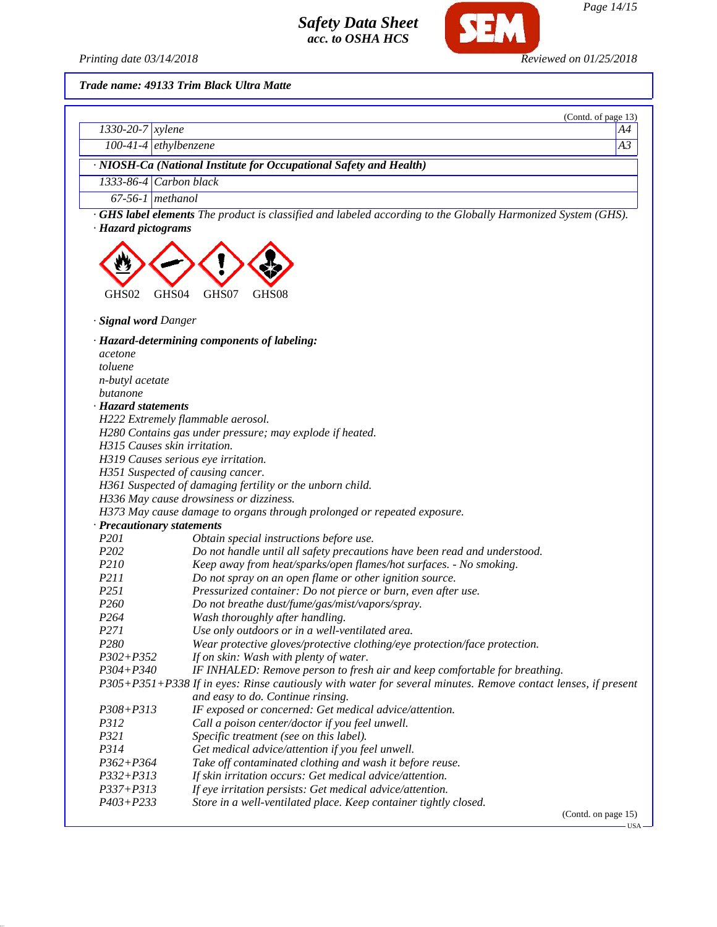

*Trade name: 49133 Trim Black Ultra Matte*

|                                              | (Contd. of page 13)                                                                                                                                       |  |
|----------------------------------------------|-----------------------------------------------------------------------------------------------------------------------------------------------------------|--|
| $1330 - 20 - 7$ xylene                       | A4                                                                                                                                                        |  |
|                                              | A3<br>$100-41-4$ ethylbenzene                                                                                                                             |  |
|                                              | · NIOSH-Ca (National Institute for Occupational Safety and Health)                                                                                        |  |
|                                              | 1333-86-4 Carbon black                                                                                                                                    |  |
|                                              | $67-56-1$ methanol                                                                                                                                        |  |
| · Hazard pictograms<br>GHS02                 | <b>GHS label elements</b> The product is classified and labeled according to the Globally Harmonized System (GHS).<br>GHS04<br>GHS07<br>GHS <sub>08</sub> |  |
| · <b>Signal word</b> Danger                  |                                                                                                                                                           |  |
| acetone<br>toluene<br><i>n-butyl</i> acetate | · Hazard-determining components of labeling:                                                                                                              |  |

*butanone*

*· Hazard statements*

*H222 Extremely flammable aerosol.*

*H280 Contains gas under pressure; may explode if heated.*

*H315 Causes skin irritation.*

*H319 Causes serious eye irritation.*

*H351 Suspected of causing cancer.*

*H361 Suspected of damaging fertility or the unborn child.*

*H336 May cause drowsiness or dizziness.*

*H373 May cause damage to organs through prolonged or repeated exposure.*

*· Precautionary statements*

| <i>P201</i> | Obtain special instructions before use. |
|-------------|-----------------------------------------|
|-------------|-----------------------------------------|

- *P202 Do not handle until all safety precautions have been read and understood.*
- *P210 Keep away from heat/sparks/open flames/hot surfaces. No smoking.*
- *P211 Do not spray on an open flame or other ignition source.*
- *P251 Pressurized container: Do not pierce or burn, even after use.*
- *P260 Do not breathe dust/fume/gas/mist/vapors/spray.*
- *P264 Wash thoroughly after handling.*
- *P271 Use only outdoors or in a well-ventilated area.*

*P280 Wear protective gloves/protective clothing/eye protection/face protection.*

*P302+P352 If on skin: Wash with plenty of water.*

*P304+P340 IF INHALED: Remove person to fresh air and keep comfortable for breathing.*

*P305+P351+P338 If in eyes: Rinse cautiously with water for several minutes. Remove contact lenses, if present and easy to do. Continue rinsing.*

- *P308+P313 IF exposed or concerned: Get medical advice/attention.*
- *P312 Call a poison center/doctor if you feel unwell.*
- *P321 Specific treatment (see on this label).*
- *P314 Get medical advice/attention if you feel unwell.*
- *P362+P364 Take off contaminated clothing and wash it before reuse.*
- *P332+P313 If skin irritation occurs: Get medical advice/attention.*
- *P337+P313 If eye irritation persists: Get medical advice/attention.*
- *P403+P233 Store in a well-ventilated place. Keep container tightly closed.*

(Contd. on page 15)

**HSA**